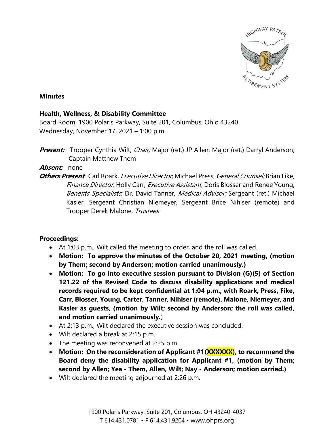

## **Minutes**

## **Health, Wellness, & Disability Committee**

Board Room, 1900 Polaris Parkway, Suite 201, Columbus, Ohio 43240 Wednesday, November 17, 2021 – 1:00 p.m.

**Present:** Trooper Cynthia Wilt, *Chair;* Major (ret.) JP Allen; Major (ret.) Darryl Anderson; Captain Matthew Them

## **Absent:** none

**Others Present**: Carl Roark, Executive Director; Michael Press, General Counsel; Brian Fike, Finance Director; Holly Carr, Executive Assistant; Doris Blosser and Renee Young, Benefits Specialists; Dr. David Tanner, Medical Advisor; Sergeant (ret.) Michael Kasler, Sergeant Christian Niemeyer, Sergeant Brice Nihiser (remote) and Trooper Derek Malone, Trustees

## **Proceedings:**

- At 1:03 p.m., Wilt called the meeting to order, and the roll was called.
- **Motion: To approve the minutes of the October 20, 2021 meeting, (motion by Them; second by Anderson; motion carried unanimously.)**
- **Motion: To go into executive session pursuant to Division (G)(5) of Section 121.22 of the Revised Code to discuss disability applications and medical records required to be kept confidential at 1:04 p.m., with Roark, Press, Fike, Carr, Blosser, Young, Carter, Tanner, Nihiser (remote), Malone, Niemeyer, and Kasler as guests, (motion by Wilt; second by Anderson; the roll was called, and motion carried unanimously.**)
- At 2:13 p.m., Wilt declared the executive session was concluded.
- Wilt declared a break at 2:15 p.m.
- The meeting was reconvened at 2:25 p.m.
- **Motion: On the reconsideration of Applicant #1(XXXXXX), to recommend the Board deny the disability application for Applicant #1, (motion by Them; second by Allen; Yea - Them, Allen, Wilt; Nay - Anderson; motion carried.)**
- Wilt declared the meeting adjourned at 2:26 p.m.